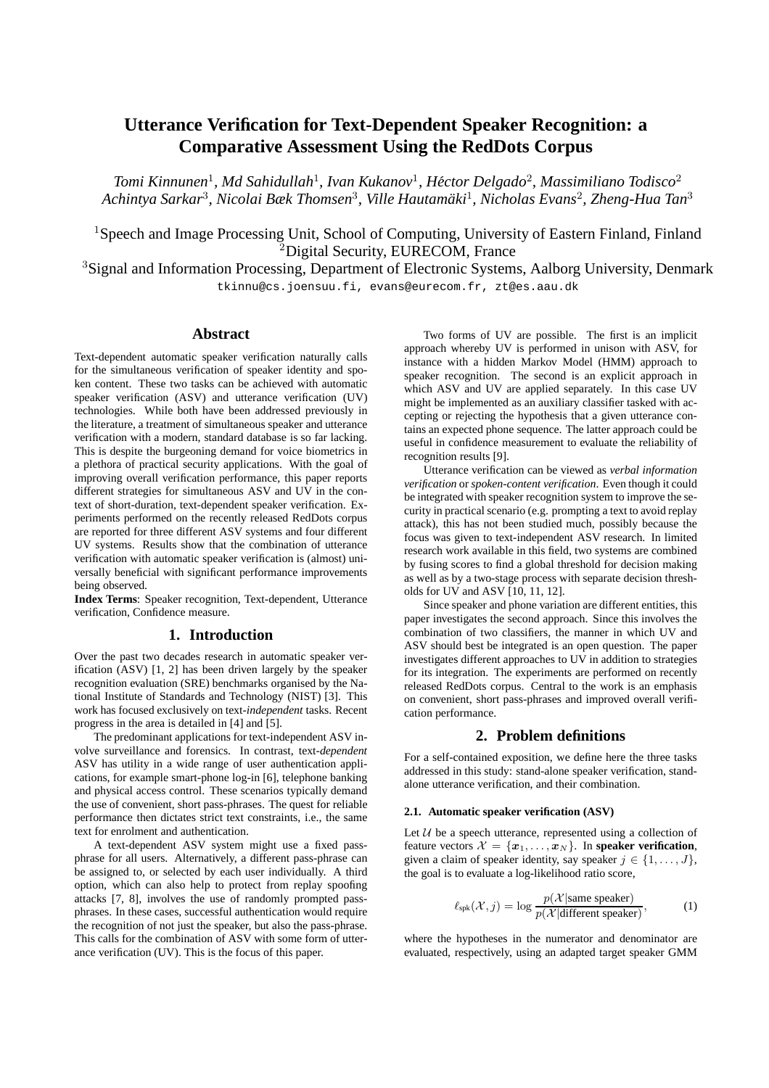# **Utterance Verification for Text-Dependent Speaker Recognition: a Comparative Assessment Using the RedDots Corpus**

*Tomi Kinnunen*<sup>1</sup> *, Md Sahidullah*<sup>1</sup> *, Ivan Kukanov*<sup>1</sup> *, Hector Delgado ´* 2 *, Massimiliano Todisco*<sup>2</sup> *Achintya Sarkar*<sup>3</sup> *, Nicolai Bæk Thomsen*<sup>3</sup> *, Ville Hautamaki ¨* 1 *, Nicholas Evans*<sup>2</sup> *, Zheng-Hua Tan*<sup>3</sup>

<sup>1</sup>Speech and Image Processing Unit, School of Computing, University of Eastern Finland, Finland <sup>2</sup>Digital Security, EURECOM, France

<sup>3</sup>Signal and Information Processing, Department of Electronic Systems, Aalborg University, Denmark tkinnu@cs.joensuu.fi, evans@eurecom.fr, zt@es.aau.dk

### **Abstract**

Text-dependent automatic speaker verification naturally calls for the simultaneous verification of speaker identity and spoken content. These two tasks can be achieved with automatic speaker verification (ASV) and utterance verification (UV) technologies. While both have been addressed previously in the literature, a treatment of simultaneous speaker and utterance verification with a modern, standard database is so far lacking. This is despite the burgeoning demand for voice biometrics in a plethora of practical security applications. With the goal of improving overall verification performance, this paper reports different strategies for simultaneous ASV and UV in the context of short-duration, text-dependent speaker verification. Experiments performed on the recently released RedDots corpus are reported for three different ASV systems and four different UV systems. Results show that the combination of utterance verification with automatic speaker verification is (almost) universally beneficial with significant performance improvements being observed.

**Index Terms**: Speaker recognition, Text-dependent, Utterance verification, Confidence measure.

### **1. Introduction**

Over the past two decades research in automatic speaker verification (ASV) [1, 2] has been driven largely by the speaker recognition evaluation (SRE) benchmarks organised by the National Institute of Standards and Technology (NIST) [3]. This work has focused exclusively on text-*independent* tasks. Recent progress in the area is detailed in [4] and [5].

The predominant applications for text-independent ASV involve surveillance and forensics. In contrast, text-*dependent* ASV has utility in a wide range of user authentication applications, for example smart-phone log-in [6], telephone banking and physical access control. These scenarios typically demand the use of convenient, short pass-phrases. The quest for reliable performance then dictates strict text constraints, i.e., the same text for enrolment and authentication.

A text-dependent ASV system might use a fixed passphrase for all users. Alternatively, a different pass-phrase can be assigned to, or selected by each user individually. A third option, which can also help to protect from replay spoofing attacks [7, 8], involves the use of randomly prompted passphrases. In these cases, successful authentication would require the recognition of not just the speaker, but also the pass-phrase. This calls for the combination of ASV with some form of utterance verification (UV). This is the focus of this paper.

Two forms of UV are possible. The first is an implicit approach whereby UV is performed in unison with ASV, for instance with a hidden Markov Model (HMM) approach to speaker recognition. The second is an explicit approach in which ASV and UV are applied separately. In this case UV might be implemented as an auxiliary classifier tasked with accepting or rejecting the hypothesis that a given utterance contains an expected phone sequence. The latter approach could be useful in confidence measurement to evaluate the reliability of recognition results [9].

Utterance verification can be viewed as *verbal information verification* or *spoken-content verification*. Even though it could be integrated with speaker recognition system to improve the security in practical scenario (e.g. prompting a text to avoid replay attack), this has not been studied much, possibly because the focus was given to text-independent ASV research. In limited research work available in this field, two systems are combined by fusing scores to find a global threshold for decision making as well as by a two-stage process with separate decision thresholds for UV and ASV [10, 11, 12].

Since speaker and phone variation are different entities, this paper investigates the second approach. Since this involves the combination of two classifiers, the manner in which UV and ASV should best be integrated is an open question. The paper investigates different approaches to UV in addition to strategies for its integration. The experiments are performed on recently released RedDots corpus. Central to the work is an emphasis on convenient, short pass-phrases and improved overall verification performance.

### **2. Problem definitions**

For a self-contained exposition, we define here the three tasks addressed in this study: stand-alone speaker verification, standalone utterance verification, and their combination.

#### **2.1. Automatic speaker verification (ASV)**

Let  $U$  be a speech utterance, represented using a collection of feature vectors  $\mathcal{X} = \{x_1, \ldots, x_N\}$ . In **speaker verification**, given a claim of speaker identity, say speaker  $i \in \{1, \ldots, J\}$ , the goal is to evaluate a log-likelihood ratio score,

$$
\ell_{\rm spk}(\mathcal{X}, j) = \log \frac{p(\mathcal{X} | \text{same speaker})}{p(\mathcal{X} | \text{different speaker})},
$$
 (1)

where the hypotheses in the numerator and denominator are evaluated, respectively, using an adapted target speaker GMM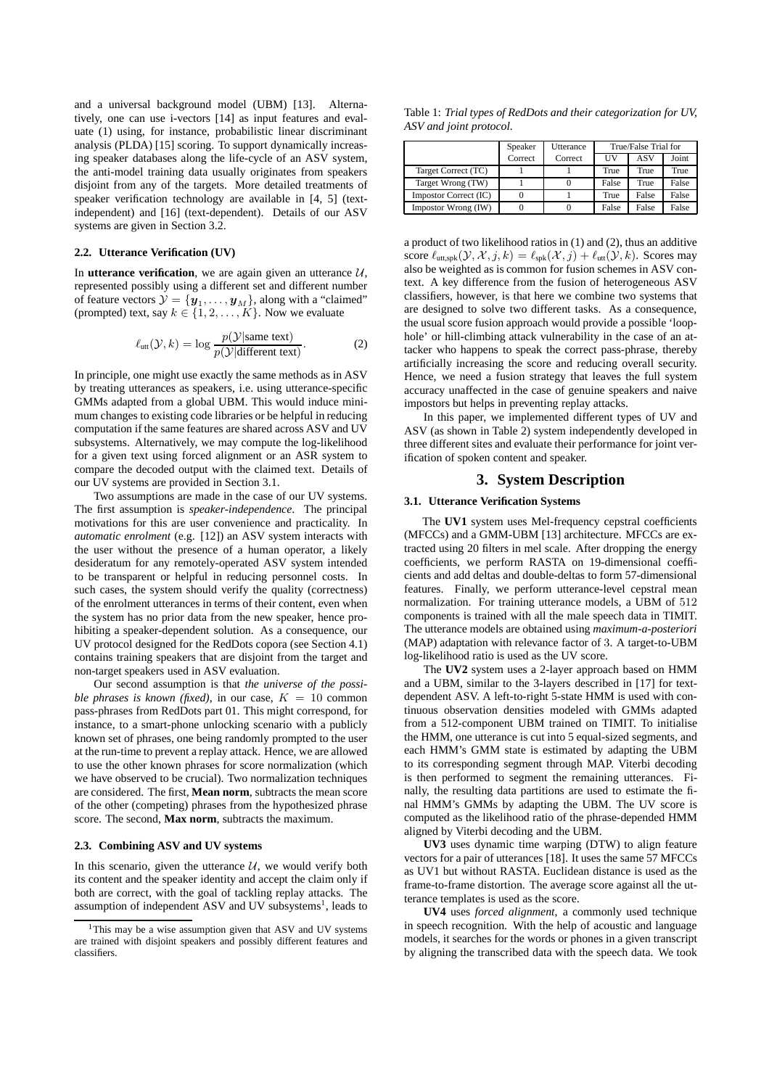and a universal background model (UBM) [13]. Alternatively, one can use i-vectors [14] as input features and evaluate (1) using, for instance, probabilistic linear discriminant analysis (PLDA) [15] scoring. To support dynamically increasing speaker databases along the life-cycle of an ASV system, the anti-model training data usually originates from speakers disjoint from any of the targets. More detailed treatments of speaker verification technology are available in [4, 5] (textindependent) and [16] (text-dependent). Details of our ASV systems are given in Section 3.2.

#### **2.2. Utterance Verification (UV)**

In **utterance verification**, we are again given an utterance  $U$ , represented possibly using a different set and different number of feature vectors  $\mathcal{Y} = \{y_1, \ldots, y_M\}$ , along with a "claimed" (prompted) text, say  $k \in \{1, 2, \ldots, K\}$ . Now we evaluate

$$
\ell_{\text{utt}}(\mathcal{Y}, k) = \log \frac{p(\mathcal{Y}|\text{same text})}{p(\mathcal{Y}|\text{different text})}.
$$
 (2)

In principle, one might use exactly the same methods as in ASV by treating utterances as speakers, i.e. using utterance-specific GMMs adapted from a global UBM. This would induce minimum changes to existing code libraries or be helpful in reducing computation if the same features are shared across ASV and UV subsystems. Alternatively, we may compute the log-likelihood for a given text using forced alignment or an ASR system to compare the decoded output with the claimed text. Details of our UV systems are provided in Section 3.1.

Two assumptions are made in the case of our UV systems. The first assumption is *speaker-independence*. The principal motivations for this are user convenience and practicality. In *automatic enrolment* (e.g. [12]) an ASV system interacts with the user without the presence of a human operator, a likely desideratum for any remotely-operated ASV system intended to be transparent or helpful in reducing personnel costs. In such cases, the system should verify the quality (correctness) of the enrolment utterances in terms of their content, even when the system has no prior data from the new speaker, hence prohibiting a speaker-dependent solution. As a consequence, our UV protocol designed for the RedDots copora (see Section 4.1) contains training speakers that are disjoint from the target and non-target speakers used in ASV evaluation.

Our second assumption is that *the universe of the possible phrases is known (fixed)*, in our case,  $K = 10$  common pass-phrases from RedDots part 01. This might correspond, for instance, to a smart-phone unlocking scenario with a publicly known set of phrases, one being randomly prompted to the user at the run-time to prevent a replay attack. Hence, we are allowed to use the other known phrases for score normalization (which we have observed to be crucial). Two normalization techniques are considered. The first, **Mean norm**, subtracts the mean score of the other (competing) phrases from the hypothesized phrase score. The second, **Max norm**, subtracts the maximum.

### **2.3. Combining ASV and UV systems**

In this scenario, given the utterance  $U$ , we would verify both its content and the speaker identity and accept the claim only if both are correct, with the goal of tackling replay attacks. The assumption of independent ASV and UV subsystems<sup>1</sup>, leads to

Table 1: *Trial types of RedDots and their categorization for UV, ASV and joint protocol.*

|                       | Speaker | Utterance | True/False Trial for |       |       |
|-----------------------|---------|-----------|----------------------|-------|-------|
|                       | Correct | Correct   | ΠV                   | ASV   | Joint |
| Target Correct (TC)   |         |           | True                 | True  | True  |
| Target Wrong (TW)     |         |           | False                | True  | False |
| Impostor Correct (IC) |         |           | True                 | False | False |
| Impostor Wrong (IW)   |         |           | False                | False | False |

a product of two likelihood ratios in (1) and (2), thus an additive score  $\ell_{\text{utt},spk}(\mathcal{Y}, \mathcal{X}, j, k) = \ell_{spk}(\mathcal{X}, j) + \ell_{\text{utt}}(\mathcal{Y}, k)$ . Scores may also be weighted as is common for fusion schemes in ASV context. A key difference from the fusion of heterogeneous ASV classifiers, however, is that here we combine two systems that are designed to solve two different tasks. As a consequence, the usual score fusion approach would provide a possible 'loophole' or hill-climbing attack vulnerability in the case of an attacker who happens to speak the correct pass-phrase, thereby artificially increasing the score and reducing overall security. Hence, we need a fusion strategy that leaves the full system accuracy unaffected in the case of genuine speakers and naive impostors but helps in preventing replay attacks.

In this paper, we implemented different types of UV and ASV (as shown in Table 2) system independently developed in three different sites and evaluate their performance for joint verification of spoken content and speaker.

### **3. System Description**

### **3.1. Utterance Verification Systems**

The **UV1** system uses Mel-frequency cepstral coefficients (MFCCs) and a GMM-UBM [13] architecture. MFCCs are extracted using 20 filters in mel scale. After dropping the energy coefficients, we perform RASTA on 19-dimensional coefficients and add deltas and double-deltas to form 57-dimensional features. Finally, we perform utterance-level cepstral mean normalization. For training utterance models, a UBM of 512 components is trained with all the male speech data in TIMIT. The utterance models are obtained using *maximum-a-posteriori* (MAP) adaptation with relevance factor of 3. A target-to-UBM log-likelihood ratio is used as the UV score.

The **UV2** system uses a 2-layer approach based on HMM and a UBM, similar to the 3-layers described in [17] for textdependent ASV. A left-to-right 5-state HMM is used with continuous observation densities modeled with GMMs adapted from a 512-component UBM trained on TIMIT. To initialise the HMM, one utterance is cut into 5 equal-sized segments, and each HMM's GMM state is estimated by adapting the UBM to its corresponding segment through MAP. Viterbi decoding is then performed to segment the remaining utterances. Finally, the resulting data partitions are used to estimate the final HMM's GMMs by adapting the UBM. The UV score is computed as the likelihood ratio of the phrase-depended HMM aligned by Viterbi decoding and the UBM.

**UV3** uses dynamic time warping (DTW) to align feature vectors for a pair of utterances [18]. It uses the same 57 MFCCs as UV1 but without RASTA. Euclidean distance is used as the frame-to-frame distortion. The average score against all the utterance templates is used as the score.

**UV4** uses *forced alignment*, a commonly used technique in speech recognition. With the help of acoustic and language models, it searches for the words or phones in a given transcript by aligning the transcribed data with the speech data. We took

<sup>&</sup>lt;sup>1</sup>This may be a wise assumption given that ASV and UV systems are trained with disjoint speakers and possibly different features and classifiers.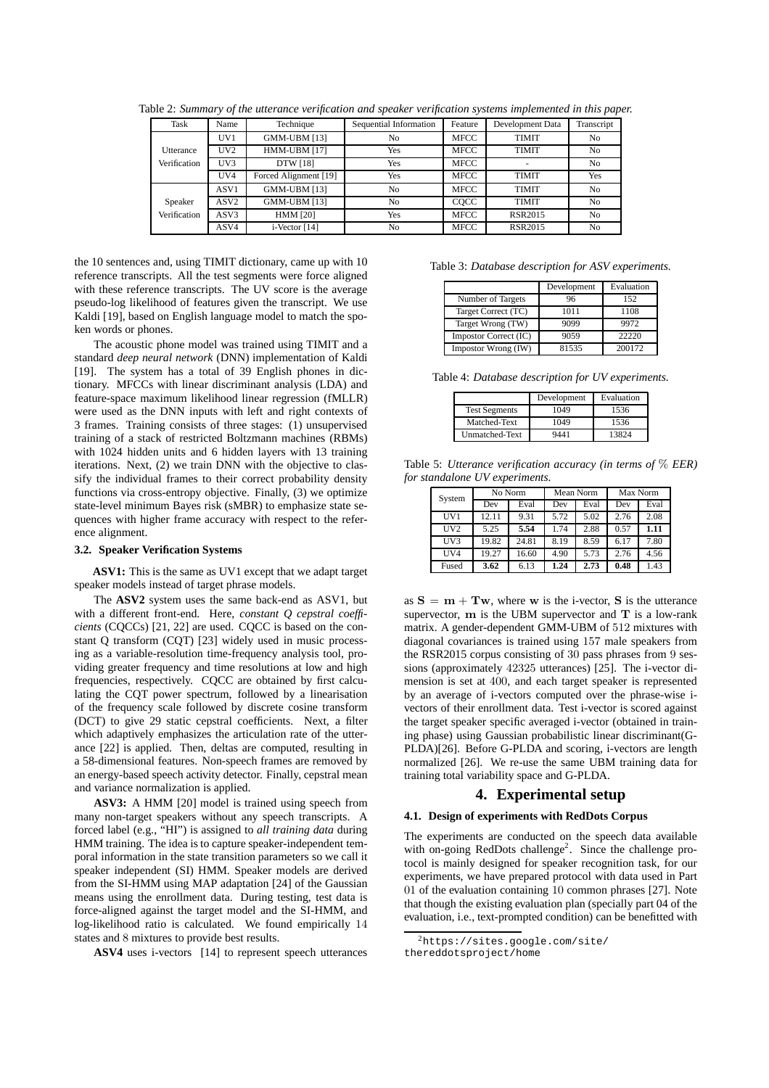| Task             | Name             | Technique             | Sequential Information<br>Feature |             | Development Data | Transcript     |
|------------------|------------------|-----------------------|-----------------------------------|-------------|------------------|----------------|
|                  | UV1              | <b>GMM-UBM [13]</b>   | No                                | <b>MFCC</b> | <b>TIMIT</b>     | N <sub>0</sub> |
| <b>Utterance</b> | UV2              | HMM-UBM [17]          | Yes                               | <b>MFCC</b> | <b>TIMIT</b>     | N <sub>0</sub> |
| Verification     | UV3              | DTW [18]              | Yes                               | <b>MFCC</b> | ۰                | N <sub>0</sub> |
|                  | UV4              | Forced Alignment [19] | Yes                               | <b>MFCC</b> | <b>TIMIT</b>     | Yes            |
|                  | ASV1             | <b>GMM-UBM [13]</b>   | No                                | <b>MFCC</b> | <b>TIMIT</b>     | N <sub>0</sub> |
| Speaker          | ASV <sub>2</sub> | <b>GMM-UBM [13]</b>   | No                                | COCC        | <b>TIMIT</b>     | N <sub>0</sub> |
| Verification     | ASV3             | <b>HMM [20]</b>       | Yes                               | <b>MFCC</b> | <b>RSR2015</b>   | N <sub>0</sub> |
|                  | ASV4             | i-Vector [14]         | No                                | <b>MFCC</b> | <b>RSR2015</b>   | N <sub>0</sub> |

Table 2: *Summary of the utterance verification and speaker verification systems implemented in this paper.*

the 10 sentences and, using TIMIT dictionary, came up with 10 reference transcripts. All the test segments were force aligned with these reference transcripts. The UV score is the average pseudo-log likelihood of features given the transcript. We use Kaldi [19], based on English language model to match the spoken words or phones.

The acoustic phone model was trained using TIMIT and a standard *deep neural network* (DNN) implementation of Kaldi [19]. The system has a total of 39 English phones in dictionary. MFCCs with linear discriminant analysis (LDA) and feature-space maximum likelihood linear regression (fMLLR) were used as the DNN inputs with left and right contexts of 3 frames. Training consists of three stages: (1) unsupervised training of a stack of restricted Boltzmann machines (RBMs) with 1024 hidden units and 6 hidden layers with 13 training iterations. Next, (2) we train DNN with the objective to classify the individual frames to their correct probability density functions via cross-entropy objective. Finally, (3) we optimize state-level minimum Bayes risk (sMBR) to emphasize state sequences with higher frame accuracy with respect to the reference alignment.

#### **3.2. Speaker Verification Systems**

**ASV1:** This is the same as UV1 except that we adapt target speaker models instead of target phrase models.

The **ASV2** system uses the same back-end as ASV1, but with a different front-end. Here, *constant Q cepstral coefficients* (CQCCs) [21, 22] are used. CQCC is based on the constant Q transform (CQT) [23] widely used in music processing as a variable-resolution time-frequency analysis tool, providing greater frequency and time resolutions at low and high frequencies, respectively. CQCC are obtained by first calculating the CQT power spectrum, followed by a linearisation of the frequency scale followed by discrete cosine transform (DCT) to give 29 static cepstral coefficients. Next, a filter which adaptively emphasizes the articulation rate of the utterance [22] is applied. Then, deltas are computed, resulting in a 58-dimensional features. Non-speech frames are removed by an energy-based speech activity detector. Finally, cepstral mean and variance normalization is applied.

**ASV3:** A HMM [20] model is trained using speech from many non-target speakers without any speech transcripts. A forced label (e.g., "HI") is assigned to *all training data* during HMM training. The idea is to capture speaker-independent temporal information in the state transition parameters so we call it speaker independent (SI) HMM. Speaker models are derived from the SI-HMM using MAP adaptation [24] of the Gaussian means using the enrollment data. During testing, test data is force-aligned against the target model and the SI-HMM, and log-likelihood ratio is calculated. We found empirically 14 states and 8 mixtures to provide best results.

**ASV4** uses i-vectors [14] to represent speech utterances

|  |  |  |  | Table 3: Database description for ASV experiments. |
|--|--|--|--|----------------------------------------------------|
|--|--|--|--|----------------------------------------------------|

|                       | Development | Evaluation |
|-----------------------|-------------|------------|
| Number of Targets     | 96          | 152        |
| Target Correct (TC)   | 1011        | 1108       |
| Target Wrong (TW)     | 9099        | 9972       |
| Impostor Correct (IC) | 9059        | 22220      |
| Impostor Wrong (IW)   | 81535       | 200172     |

Table 4: *Database description for UV experiments.*

|                      | Development | Evaluation |
|----------------------|-------------|------------|
| <b>Test Segments</b> | 1049        | 1536       |
| Matched-Text         | 1049        | 1536       |
| Unmatched-Text       | 9441        | 13824      |

Table 5: *Utterance verification accuracy (in terms of* % *EER) for standalone UV experiments.*

| System | No Norm |       | Mean Norm |      | Max Norm |      |
|--------|---------|-------|-----------|------|----------|------|
|        | Dev     | Eval  | Dev       | Eval | Dev      | Eval |
| UV1    | 12.11   | 9.31  | 5.72      | 5.02 | 2.76     | 2.08 |
| UV2    | 5.25    | 5.54  | 1.74      | 2.88 | 0.57     | 1.11 |
| UV3    | 19.82   | 24.81 | 8.19      | 8.59 | 6.17     | 7.80 |
| UV4    | 19.27   | 16.60 | 4.90      | 5.73 | 2.76     | 4.56 |
| Fused  | 3.62    | 6.13  | 1.24      | 2.73 | 0.48     | 1.43 |

as  $S = m + Tw$ , where w is the i-vector, S is the utterance supervector, m is the UBM supervector and T is a low-rank matrix. A gender-dependent GMM-UBM of 512 mixtures with diagonal covariances is trained using 157 male speakers from the RSR2015 corpus consisting of 30 pass phrases from 9 sessions (approximately 42325 utterances) [25]. The i-vector dimension is set at 400, and each target speaker is represented by an average of i-vectors computed over the phrase-wise ivectors of their enrollment data. Test i-vector is scored against the target speaker specific averaged i-vector (obtained in training phase) using Gaussian probabilistic linear discriminant(G-PLDA)[26]. Before G-PLDA and scoring, i-vectors are length normalized [26]. We re-use the same UBM training data for training total variability space and G-PLDA.

### **4. Experimental setup**

#### **4.1. Design of experiments with RedDots Corpus**

The experiments are conducted on the speech data available with on-going RedDots challenge<sup>2</sup>. Since the challenge protocol is mainly designed for speaker recognition task, for our experiments, we have prepared protocol with data used in Part 01 of the evaluation containing 10 common phrases [27]. Note that though the existing evaluation plan (specially part 04 of the evaluation, i.e., text-prompted condition) can be benefitted with

<sup>2</sup>https://sites.google.com/site/

thereddotsproject/home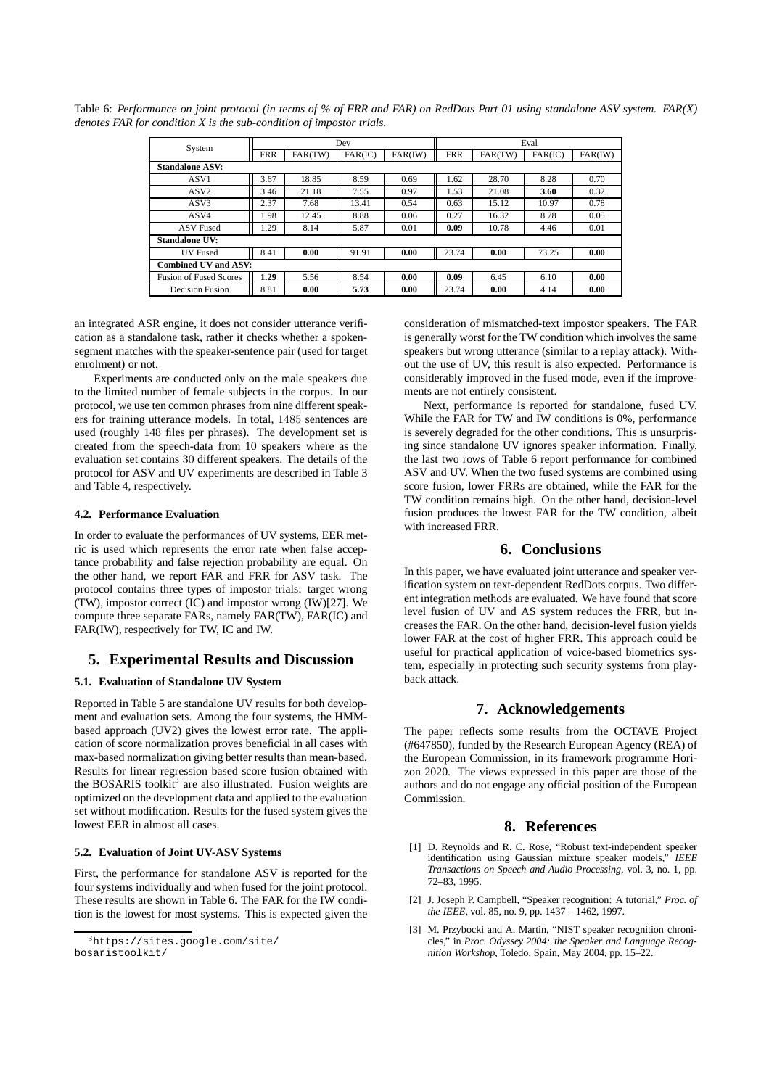| System                        | Dev        |         |         | Eval    |            |         |         |         |
|-------------------------------|------------|---------|---------|---------|------------|---------|---------|---------|
|                               | <b>FRR</b> | FAR(TW) | FAR(IC) | FAR(IW) | <b>FRR</b> | FAR(TW) | FAR(IC) | FAR(IW) |
| <b>Standalone ASV:</b>        |            |         |         |         |            |         |         |         |
| ASV1                          | 3.67       | 18.85   | 8.59    | 0.69    | 1.62       | 28.70   | 8.28    | 0.70    |
| ASV <sub>2</sub>              | 3.46       | 21.18   | 7.55    | 0.97    | 1.53       | 21.08   | 3.60    | 0.32    |
| ASV3                          | 2.37       | 7.68    | 13.41   | 0.54    | 0.63       | 15.12   | 10.97   | 0.78    |
| ASV4                          | 1.98       | 12.45   | 8.88    | 0.06    | 0.27       | 16.32   | 8.78    | 0.05    |
| <b>ASV</b> Fused              | 1.29       | 8.14    | 5.87    | 0.01    | 0.09       | 10.78   | 4.46    | 0.01    |
| Standalone UV:                |            |         |         |         |            |         |         |         |
| <b>IJV</b> Fused              | 8.41       | 0.00    | 91.91   | 0.00    | 23.74      | 0.00    | 73.25   | 0.00    |
| <b>Combined UV and ASV:</b>   |            |         |         |         |            |         |         |         |
| <b>Fusion of Fused Scores</b> | 1.29       | 5.56    | 8.54    | 0.00    | 0.09       | 6.45    | 6.10    | 0.00    |
| <b>Decision Fusion</b>        | 8.81       | 0.00    | 5.73    | 0.00    | 23.74      | 0.00    | 4.14    | 0.00    |

Table 6: *Performance on joint protocol (in terms of % of FRR and FAR) on RedDots Part 01 using standalone ASV system. FAR(X) denotes FAR for condition X is the sub-condition of impostor trials.*

an integrated ASR engine, it does not consider utterance verification as a standalone task, rather it checks whether a spokensegment matches with the speaker-sentence pair (used for target enrolment) or not.

Experiments are conducted only on the male speakers due to the limited number of female subjects in the corpus. In our protocol, we use ten common phrases from nine different speakers for training utterance models. In total, 1485 sentences are used (roughly 148 files per phrases). The development set is created from the speech-data from 10 speakers where as the evaluation set contains 30 different speakers. The details of the protocol for ASV and UV experiments are described in Table 3 and Table 4, respectively.

#### **4.2. Performance Evaluation**

In order to evaluate the performances of UV systems, EER metric is used which represents the error rate when false acceptance probability and false rejection probability are equal. On the other hand, we report FAR and FRR for ASV task. The protocol contains three types of impostor trials: target wrong (TW), impostor correct (IC) and impostor wrong (IW)[27]. We compute three separate FARs, namely FAR(TW), FAR(IC) and FAR(IW), respectively for TW, IC and IW.

### **5. Experimental Results and Discussion**

### **5.1. Evaluation of Standalone UV System**

Reported in Table 5 are standalone UV results for both development and evaluation sets. Among the four systems, the HMMbased approach (UV2) gives the lowest error rate. The application of score normalization proves beneficial in all cases with max-based normalization giving better results than mean-based. Results for linear regression based score fusion obtained with the BOSARIS toolkit<sup>3</sup> are also illustrated. Fusion weights are optimized on the development data and applied to the evaluation set without modification. Results for the fused system gives the lowest EER in almost all cases.

#### **5.2. Evaluation of Joint UV-ASV Systems**

First, the performance for standalone ASV is reported for the four systems individually and when fused for the joint protocol. These results are shown in Table 6. The FAR for the IW condition is the lowest for most systems. This is expected given the consideration of mismatched-text impostor speakers. The FAR is generally worst for the TW condition which involves the same speakers but wrong utterance (similar to a replay attack). Without the use of UV, this result is also expected. Performance is considerably improved in the fused mode, even if the improvements are not entirely consistent.

Next, performance is reported for standalone, fused UV. While the FAR for TW and IW conditions is 0%, performance is severely degraded for the other conditions. This is unsurprising since standalone UV ignores speaker information. Finally, the last two rows of Table 6 report performance for combined ASV and UV. When the two fused systems are combined using score fusion, lower FRRs are obtained, while the FAR for the TW condition remains high. On the other hand, decision-level fusion produces the lowest FAR for the TW condition, albeit with increased FRR.

### **6. Conclusions**

In this paper, we have evaluated joint utterance and speaker verification system on text-dependent RedDots corpus. Two different integration methods are evaluated. We have found that score level fusion of UV and AS system reduces the FRR, but increases the FAR. On the other hand, decision-level fusion yields lower FAR at the cost of higher FRR. This approach could be useful for practical application of voice-based biometrics system, especially in protecting such security systems from playback attack.

## **7. Acknowledgements**

The paper reflects some results from the OCTAVE Project (#647850), funded by the Research European Agency (REA) of the European Commission, in its framework programme Horizon 2020. The views expressed in this paper are those of the authors and do not engage any official position of the European Commission.

### **8. References**

- [1] D. Reynolds and R. C. Rose, "Robust text-independent speaker identification using Gaussian mixture speaker models," *IEEE Transactions on Speech and Audio Processing*, vol. 3, no. 1, pp. 72–83, 1995.
- [2] J. Joseph P. Campbell, "Speaker recognition: A tutorial," *Proc. of the IEEE*, vol. 85, no. 9, pp. 1437 – 1462, 1997.
- [3] M. Przybocki and A. Martin, "NIST speaker recognition chronicles," in *Proc. Odyssey 2004: the Speaker and Language Recognition Workshop*, Toledo, Spain, May 2004, pp. 15–22.

<sup>3</sup>https://sites.google.com/site/ bosaristoolkit/